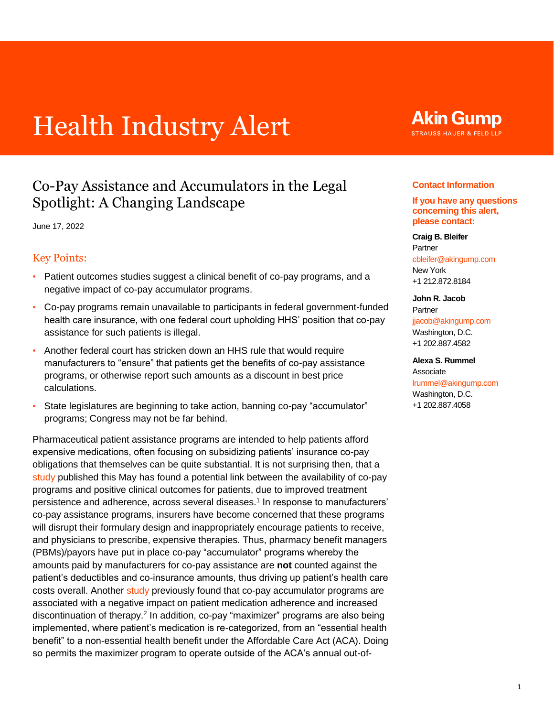# Health Industry Alert

# Co-Pay Assistance and Accumulators in the Legal Spotlight: A Changing Landscape

June 17, 2022

### Key Points:

- Patient outcomes studies suggest a clinical benefit of co-pay programs, and a negative impact of co-pay accumulator programs.
- Co-pay programs remain unavailable to participants in federal government-funded health care insurance, with one federal court upholding HHS' position that co-pay assistance for such patients is illegal.
- Another federal court has stricken down an HHS rule that would require manufacturers to "ensure" that patients get the benefits of co-pay assistance programs, or otherwise report such amounts as a discount in best price calculations.
- State legislatures are beginning to take action, banning co-pay "accumulator" programs; Congress may not be far behind.

<span id="page-0-1"></span>Pharmaceutical patient assistance programs are intended to help patients afford expensive medications, often focusing on subsidizing patients' insurance co-pay obligations that themselves can be quite substantial. It is not surprising then, that a [study](https://www.ajmc.com/view/impact-of-co-pay-assistance-on-patient-clinical-and-economic-outcomes) published this May has found a potential link between the availability of co-pay programs and positive clinical outcomes for patients, due to improved treatment persistence and adherence, across several diseases. [1](#page-3-0) In response to manufacturers' co-pay assistance programs, insurers have become concerned that these programs will disrupt their formulary design and inappropriately encourage patients to receive, and physicians to prescribe, expensive therapies. Thus, pharmacy benefit managers (PBMs)/payors have put in place co-pay "accumulator" programs whereby the amounts paid by manufacturers for co-pay assistance are **not** counted against the patient's deductibles and co-insurance amounts, thus driving up patient's health care costs overall. Another [study](https://pubmed.ncbi.nlm.nih.gov/31318506/) previously found that co-pay accumulator programs are associated with a negative impact on patient medication adherence and increased discontinuation of therapy[.](#page-3-1)<sup>2</sup> In addition, co-pay "maximizer" programs are also being implemented, where patient's medication is re-categorized, from an "essential health benefit" to a non-essential health benefit under the Affordable Care Act (ACA). Doing so permits the maximizer program to operate outside of the ACA's annual out-of-

# **Akin Gump STRAUSS HAUER & FELD LLP**

#### **Contact Information**

#### **If you have any questions concerning this alert, please contact:**

#### **Craig B. Bleifer** Partner cbleifer@akingump.com

New York +1 212.872.8184

#### **John R. Jacob** Partner jjacob@akingump.com

Washington, D.C. +1 202.887.4582

#### **Alexa S. Rummel**

<span id="page-0-0"></span>Associate lrummel@akingump.com Washington, D.C. +1 202.887.4058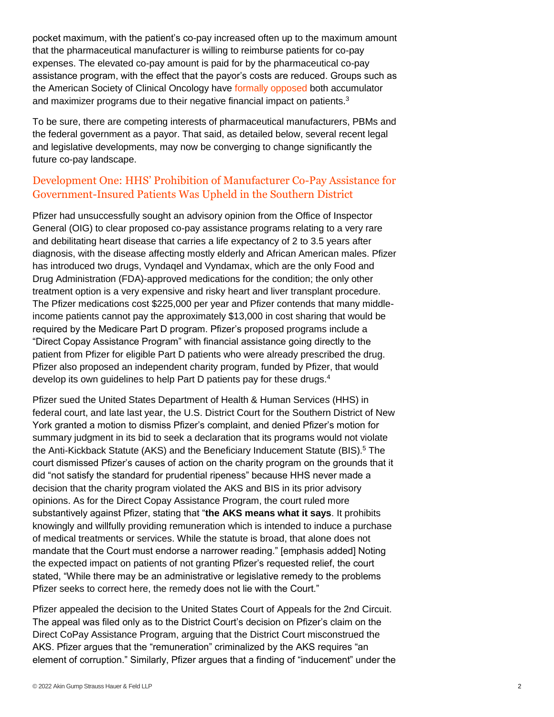pocket maximum, with the patient's co-pay increased often up to the maximum amount that the pharmaceutical manufacturer is willing to reimburse patients for co-pay expenses. The elevated co-pay amount is paid for by the pharmaceutical co-pay assistance program, with the effect that the payor's costs are reduced. Groups such as the American Society of Clinical Oncology have [formally opposed](https://www.asco.org/sites/new-www.asco.org/files/content-files/advocacy-and-policy/documents/2021-CopayAccumulatorsStatement.pdf) both accumulator and maximizer programs due to their negative financial impact on patients.<sup>[3](#page-3-2)</sup>

<span id="page-1-0"></span>To be sure, there are competing interests of pharmaceutical manufacturers, PBMs and the federal government as a payor. That said, as detailed below, several recent legal and legislative developments, may now be converging to change significantly the future co-pay landscape.

## Development One: HHS' Prohibition of Manufacturer Co-Pay Assistance for Government-Insured Patients Was Upheld in the Southern District

Pfizer had unsuccessfully sought an advisory opinion from the Office of Inspector General (OIG) to clear proposed co-pay assistance programs relating to a very rare and debilitating heart disease that carries a life expectancy of 2 to 3.5 years after diagnosis, with the disease affecting mostly elderly and African American males. Pfizer has introduced two drugs, Vyndaqel and Vyndamax, which are the only Food and Drug Administration (FDA)-approved medications for the condition; the only other treatment option is a very expensive and risky heart and liver transplant procedure. The Pfizer medications cost \$225,000 per year and Pfizer contends that many middleincome patients cannot pay the approximately \$13,000 in cost sharing that would be required by the Medicare Part D program. Pfizer's proposed programs include a "Direct Copay Assistance Program" with financial assistance going directly to the patient from Pfizer for eligible Part D patients who were already prescribed the drug. Pfizer also proposed an independent charity program, funded by Pfizer, that would develop its own guidelines to help Part D patients pay for these drugs.[4](#page-3-3)

<span id="page-1-2"></span><span id="page-1-1"></span>Pfizer sued the United States Department of Health & Human Services (HHS) in federal court, and late last year, the U.S. District Court for the Southern District of New York granted a motion to dismiss Pfizer's complaint, and denied Pfizer's motion for summary judgment in its bid to seek a declaration that its programs would not violate the Anti-Kickback Statute (AKS) and the Beneficiary Inducement Statute (BIS).[5](#page-3-4) The court dismissed Pfizer's causes of action on the charity program on the grounds that it did "not satisfy the standard for prudential ripeness" because HHS never made a decision that the charity program violated the AKS and BIS in its prior advisory opinions. As for the Direct Copay Assistance Program, the court ruled more substantively against Pfizer, stating that "**the AKS means what it says**. It prohibits knowingly and willfully providing remuneration which is intended to induce a purchase of medical treatments or services. While the statute is broad, that alone does not mandate that the Court must endorse a narrower reading." [emphasis added] Noting the expected impact on patients of not granting Pfizer's requested relief, the court stated, "While there may be an administrative or legislative remedy to the problems Pfizer seeks to correct here, the remedy does not lie with the Court."

Pfizer appealed the decision to the United States Court of Appeals for the 2nd Circuit. The appeal was filed only as to the District Court's decision on Pfizer's claim on the Direct CoPay Assistance Program, arguing that the District Court misconstrued the AKS. Pfizer argues that the "remuneration" criminalized by the AKS requires "an element of corruption." Similarly, Pfizer argues that a finding of "inducement" under the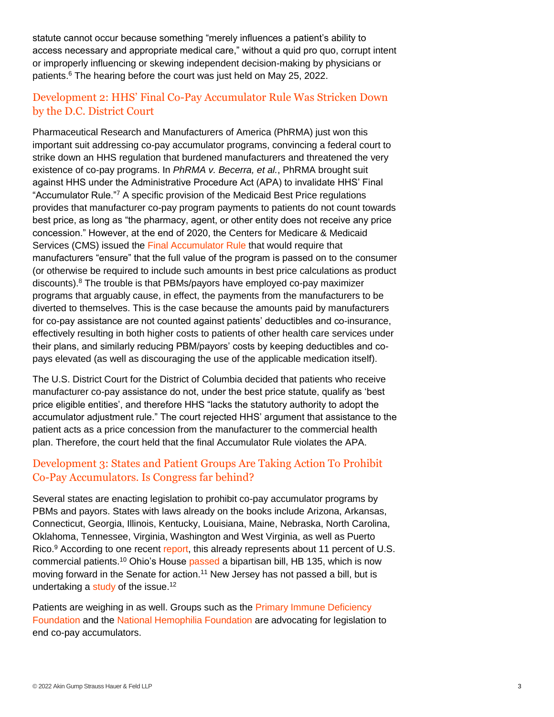statute cannot occur because something "merely influences a patient's ability to access necessary and appropriate medical care," without a quid pro quo, corrupt intent or improperly influencing or skewing independent decision-making by physicians or patients[.](#page-3-5) <sup>6</sup> The hearing before the court was just held on May 25, 2022.

# <span id="page-2-0"></span>Development 2: HHS' Final Co-Pay Accumulator Rule Was Stricken Down by the D.C. District Court

<span id="page-2-1"></span>Pharmaceutical Research and Manufacturers of America (PhRMA) just won this important suit addressing co-pay accumulator programs, convincing a federal court to strike down an HHS regulation that burdened manufacturers and threatened the very existence of co-pay programs. In *PhRMA v. Becerra, et al.*, PhRMA brought suit against HHS under the Administrative Procedure Act (APA) to invalidate HHS' Final "Accumulator Rule."[7](#page-4-0) A specific provision of the Medicaid Best Price regulations provides that manufacturer co-pay program payments to patients do not count towards best price, as long as "the pharmacy, agent, or other entity does not receive any price concession." However, at the end of 2020, the Centers for Medicare & Medicaid Services (CMS) issued the [Final Accumulator Rule](https://www.govinfo.gov/content/pkg/FR-2020-12-31/pdf/2020-28567.pdf) that would require that manufacturers "ensure" that the full value of the program is passed on to the consumer (or otherwise be required to include such amounts in best price calculations as product discounts).[8](#page-4-1) The trouble is that PBMs/payors have employed co-pay maximizer programs that arguably cause, in effect, the payments from the manufacturers to be diverted to themselves. This is the case because the amounts paid by manufacturers for co-pay assistance are not counted against patients' deductibles and co-insurance, effectively resulting in both higher costs to patients of other health care services under their plans, and similarly reducing PBM/payors' costs by keeping deductibles and copays elevated (as well as discouraging the use of the applicable medication itself).

<span id="page-2-2"></span>The U.S. District Court for the District of Columbia decided that patients who receive manufacturer co-pay assistance do not, under the best price statute, qualify as 'best price eligible entities', and therefore HHS "lacks the statutory authority to adopt the accumulator adjustment rule." The court rejected HHS' argument that assistance to the patient acts as a price concession from the manufacturer to the commercial health plan. Therefore, the court held that the final Accumulator Rule violates the APA.

# Development 3: States and Patient Groups Are Taking Action To Prohibit Co-Pay Accumulators. Is Congress far behind?

<span id="page-2-3"></span>Several states are enacting legislation to prohibit co-pay accumulator programs by PBMs and payors. States with laws already on the books include Arizona, Arkansas, Connecticut, Georgia, Illinois, Kentucky, Louisiana, Maine, Nebraska, North Carolina, Oklahoma, Tennessee, Virginia, Washington and West Virginia, as well as Puerto Rico.<sup>[9](#page-4-2)</sup> According to one recent [report,](https://avalere.com/insights/state-copay-accumulator-bans-impact-11-of-us-commercial-lives) this already represents about 11 percent of U.S. commercial patients.[10](#page-4-3) Ohio's House [passed](https://search-prod.lis.state.oh.us/solarapi/v1/general_assembly_134/bills/hb135/PH/03/hb135_03_PH?format=pdf) a bipartisan bill, HB 135, which is now moving forward in the Senate for action.<sup>[11](#page-4-4)</sup> New Jersey has not passed a bill, but is undertaking a [study](https://pub.njleg.gov/bills/2022/A2000/1747_R1.PDF) of the issue.<sup>[12](#page-4-5)</sup>

<span id="page-2-6"></span><span id="page-2-5"></span><span id="page-2-4"></span>Patients are weighing in as well. Groups such as the [Primary Immune Deficiency](https://primaryimmune.org/news/support-help-copays-act-and-fight-unfair-copay-accumulators)  [Foundation](https://primaryimmune.org/news/support-help-copays-act-and-fight-unfair-copay-accumulators) and the [National Hemophilia Foundation](https://www.hemophilia.org/news/co-pay-accumulator-policies-hurt-patients-theres-a-simple-solution) are advocating for legislation to end co-pay accumulators.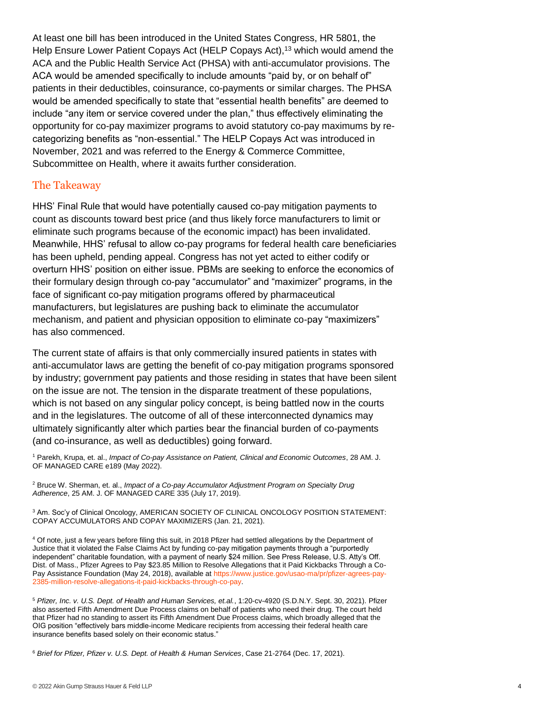<span id="page-3-6"></span>At least one bill has been introduced in the United States Congress, HR 5801, the Help Ensure Lower Patient Copays Act (HELP Copays Act),<sup>[13](#page-4-6)</sup> which would amend the ACA and the Public Health Service Act (PHSA) with anti-accumulator provisions. The ACA would be amended specifically to include amounts "paid by, or on behalf of" patients in their deductibles, coinsurance, co-payments or similar charges. The PHSA would be amended specifically to state that "essential health benefits" are deemed to include "any item or service covered under the plan," thus effectively eliminating the opportunity for co-pay maximizer programs to avoid statutory co-pay maximums by recategorizing benefits as "non-essential." The HELP Copays Act was introduced in November, 2021 and was referred to the Energy & Commerce Committee, Subcommittee on Health, where it awaits further consideration.

#### The Takeaway

HHS' Final Rule that would have potentially caused co-pay mitigation payments to count as discounts toward best price (and thus likely force manufacturers to limit or eliminate such programs because of the economic impact) has been invalidated. Meanwhile, HHS' refusal to allow co-pay programs for federal health care beneficiaries has been upheld, pending appeal. Congress has not yet acted to either codify or overturn HHS' position on either issue. PBMs are seeking to enforce the economics of their formulary design through co-pay "accumulator" and "maximizer" programs, in the face of significant co-pay mitigation programs offered by pharmaceutical manufacturers, but legislatures are pushing back to eliminate the accumulator mechanism, and patient and physician opposition to eliminate co-pay "maximizers" has also commenced.

The current state of affairs is that only commercially insured patients in states with anti-accumulator laws are getting the benefit of co-pay mitigation programs sponsored by industry; government pay patients and those residing in states that have been silent on the issue are not. The tension in the disparate treatment of these populations, which is not based on any singular policy concept, is being battled now in the courts and in the legislatures. The outcome of all of these interconnected dynamics may ultimately significantly alter which parties bear the financial burden of co-payments (and co-insurance, as well as deductibles) going forward.

<span id="page-3-0"></span>[1](#page-0-0) Parekh, Krupa, et. al., *Impact of Co-pay Assistance on Patient, Clinical and Economic Outcomes*, 28 AM. J. OF MANAGED CARE e189 (May 2022).

<span id="page-3-1"></span>[2](#page-0-1) Bruce W. Sherman, et. al., *Impact of a Co-pay Accumulator Adjustment Program on Specialty Drug Adherence*, 25 AM. J. OF MANAGED CARE 335 (July 17, 2019).

<span id="page-3-2"></span>[3](#page-1-0) Am. Soc'y of Clinical Oncology, AMERICAN SOCIETY OF CLINICAL ONCOLOGY POSITION STATEMENT: COPAY ACCUMULATORS AND COPAY MAXIMIZERS (Jan. 21, 2021).

<span id="page-3-3"></span>[4](#page-1-1) Of note, just a few years before filing this suit, in 2018 Pfizer had settled allegations by the Department of Justice that it violated the False Claims Act by funding co-pay mitigation payments through a "purportedly independent" charitable foundation, with a payment of nearly \$24 million. See Press Release, U.S. Atty's Off. Dist. of Mass., Pfizer Agrees to Pay \$23.85 Million to Resolve Allegations that it Paid Kickbacks Through a Co-Pay Assistance Foundation (May 24, 2018), available at [https://www.justice.gov/usao-ma/pr/pfizer-agrees-pay-](https://www.justice.gov/usao-ma/pr/pfizer-agrees-pay-2385-million-resolve-allegations-it-paid-kickbacks-through-co-pay)[2385-million-resolve-allegations-it-paid-kickbacks-through-co-pay.](https://www.justice.gov/usao-ma/pr/pfizer-agrees-pay-2385-million-resolve-allegations-it-paid-kickbacks-through-co-pay)

<span id="page-3-4"></span>[5](#page-1-2) *Pfizer, Inc. v. U.S. Dept. of Health and Human Services, et.al.*, 1:20-cv-4920 (S.D.N.Y. Sept. 30, 2021). Pfizer also asserted Fifth Amendment Due Process claims on behalf of patients who need their drug. The court held that Pfizer had no standing to assert its Fifth Amendment Due Process claims, which broadly alleged that the OIG position "effectively bars middle-income Medicare recipients from accessing their federal health care insurance benefits based solely on their economic status."

<span id="page-3-5"></span>[6](#page-2-0) *Brief for Pfizer, Pfizer v. U.S. Dept. of Health & Human Services*, Case 21-2764 (Dec. 17, 2021).